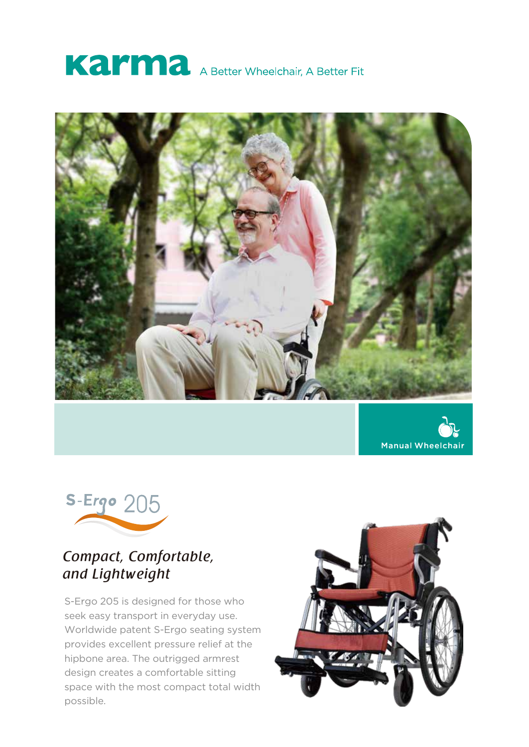







## *Compact, Comfortable, and Lightweight*

S-Ergo 205 is designed for those who seek easy transport in everyday use. Worldwide patent S-Ergo seating system provides excellent pressure relief at the hipbone area. The outrigged armrest design creates a comfortable sitting space with the most compact total width possible.